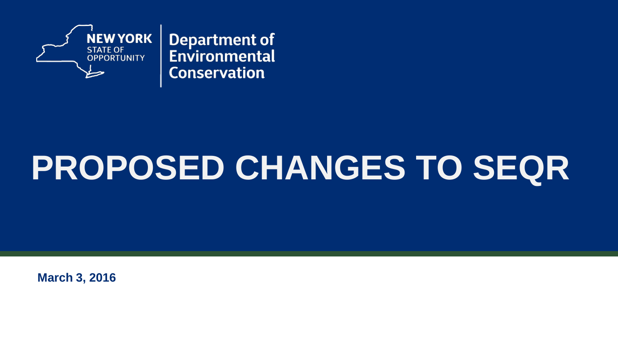

**Department of** Environmental **Conservation** 

# **PROPOSED CHANGES TO SEQR**

**March 3, 2016**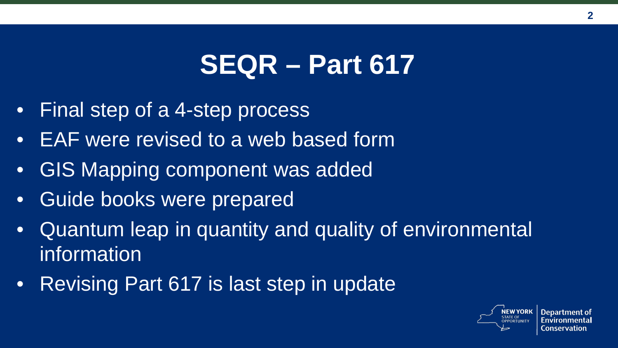### **SEQR – Part 617**

- Final step of a 4-step process
- EAF were revised to a web based form
- GIS Mapping component was added
- Guide books were prepared
- Quantum leap in quantity and quality of environmental information
- Revising Part 617 is last step in update



**Department of**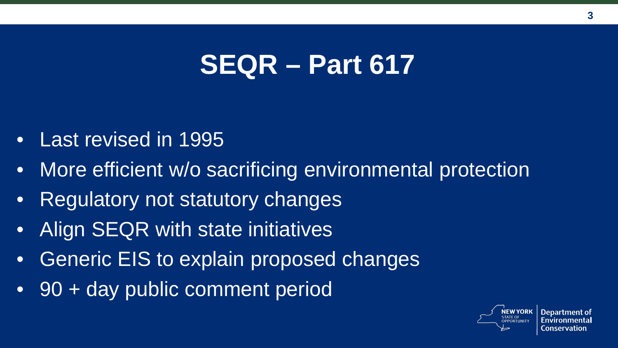### **SEQR – Part 617**

- Last revised in 1995
- More efficient w/o sacrificing environmental protection
- Regulatory not statutory changes
- Align SEQR with state initiatives
- Generic EIS to explain proposed changes
- 90 + day public comment period

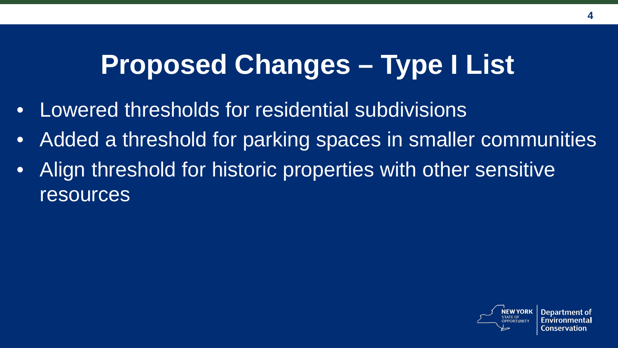### **Proposed Changes – Type I List**

- Lowered thresholds for residential subdivisions
- Added a threshold for parking spaces in smaller communities
- Align threshold for historic properties with other sensitive resources

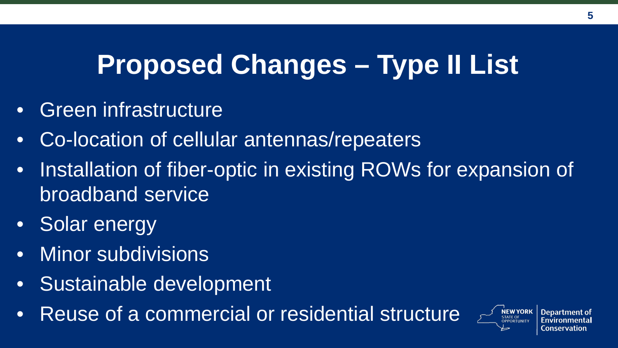# **Proposed Changes – Type II List**

- Green infrastructure
- Co-location of cellular antennas/repeaters
- Installation of fiber-optic in existing ROWs for expansion of broadband service
- **Solar energy**
- Minor subdivisions
- Sustainable development
- Reuse of a commercial or residential structure

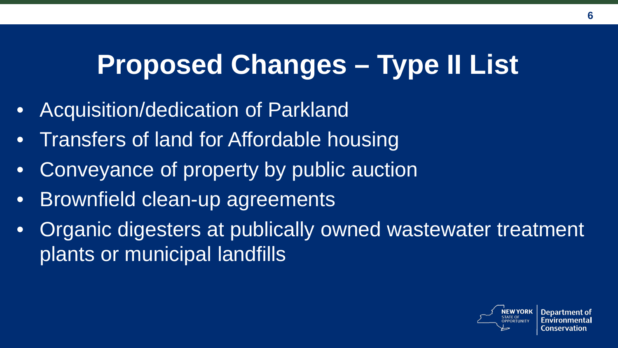# **Proposed Changes – Type II List**

- Acquisition/dedication of Parkland
- Transfers of land for Affordable housing
- Conveyance of property by public auction
- Brownfield clean-up agreements
- Organic digesters at publically owned wastewater treatment plants or municipal landfills

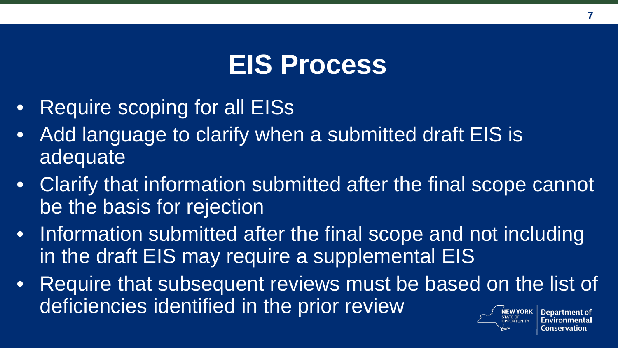#### **EIS Process**

- Require scoping for all EISs
- Add language to clarify when a submitted draft EIS is adequate
- Clarify that information submitted after the final scope cannot be the basis for rejection
- Information submitted after the final scope and not including in the draft EIS may require a supplemental EIS
- Require that subsequent reviews must be based on the list of deficiencies identified in the prior review**NEW YORK Department of**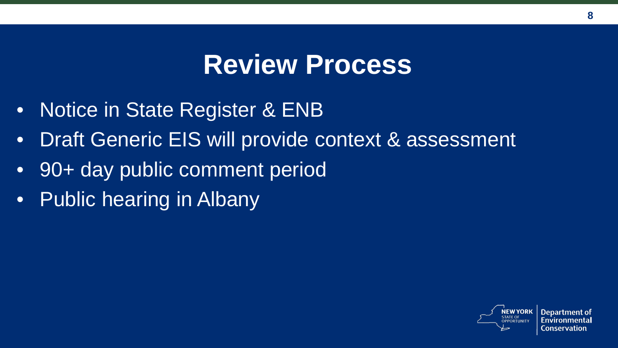#### **Review Process**

- Notice in State Register & ENB
- Draft Generic EIS will provide context & assessment
- 90+ day public comment period
- Public hearing in Albany



**Department of**